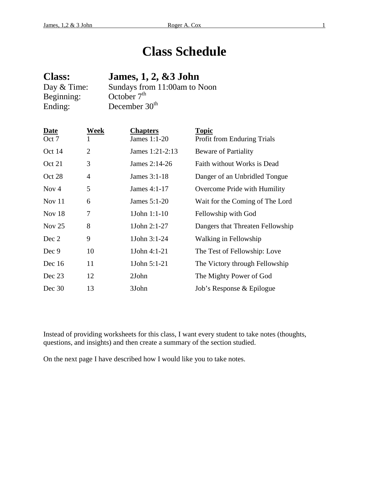# **Class Schedule**

**Class: James, 1, 2, &3 John**<br>Day & Time: Sundays from 11:00am to N Sundays from 11:00am to Noon<br>October  $7<sup>th</sup>$ Beginning: Ending: December 30<sup>th</sup>

| Date     | Week           | <b>Chapters</b>   | <b>Topic</b>                       |
|----------|----------------|-------------------|------------------------------------|
| Oct 7    |                | James 1:1-20      | <b>Profit from Enduring Trials</b> |
| Oct 14   | $\overline{2}$ | James 1:21-2:13   | <b>Beware of Partiality</b>        |
| Oct 21   | 3              | James 2:14-26     | Faith without Works is Dead        |
| Oct 28   | $\overline{4}$ | James 3:1-18      | Danger of an Unbridled Tongue      |
| Nov $4$  | 5              | James 4:1-17      | Overcome Pride with Humility       |
| Nov $11$ | 6              | James 5:1-20      | Wait for the Coming of The Lord    |
| Nov $18$ | 7              | $1$ John $1:1-10$ | Fellowship with God                |
| Nov $25$ | 8              | $1$ John $2:1-27$ | Dangers that Threaten Fellowship   |
| Dec 2    | 9              | 1John 3:1-24      | Walking in Fellowship              |
| Dec 9    | 10             | $1$ John 4:1-21   | The Test of Fellowship: Love       |
| Dec 16   | 11             | 1John 5:1-21      | The Victory through Fellowship     |
| Dec 23   | 12             | 2John             | The Mighty Power of God            |
| Dec 30   | 13             | 3John             | Job's Response & Epilogue          |

Instead of providing worksheets for this class, I want every student to take notes (thoughts, questions, and insights) and then create a summary of the section studied.

On the next page I have described how I would like you to take notes.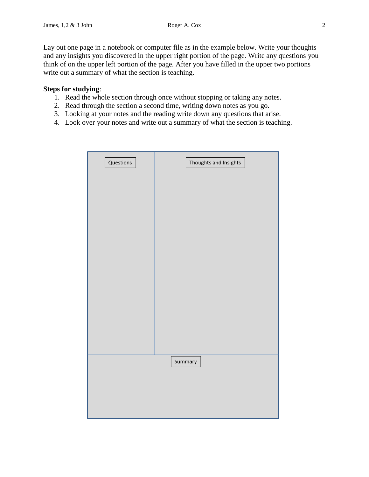Lay out one page in a notebook or computer file as in the example below. Write your thoughts and any insights you discovered in the upper right portion of the page. Write any questions you think of on the upper left portion of the page. After you have filled in the upper two portions write out a summary of what the section is teaching.

#### **Steps for studying**:

- 1. Read the whole section through once without stopping or taking any notes.
- 2. Read through the section a second time, writing down notes as you go.
- 3. Looking at your notes and the reading write down any questions that arise.
- 4. Look over your notes and write out a summary of what the section is teaching.

| Questions | Thoughts and Insights |
|-----------|-----------------------|
|           |                       |
|           |                       |
|           |                       |
|           |                       |
|           |                       |
|           |                       |
|           |                       |
|           |                       |
|           |                       |
|           |                       |
|           | Summary               |
|           |                       |
|           |                       |
|           |                       |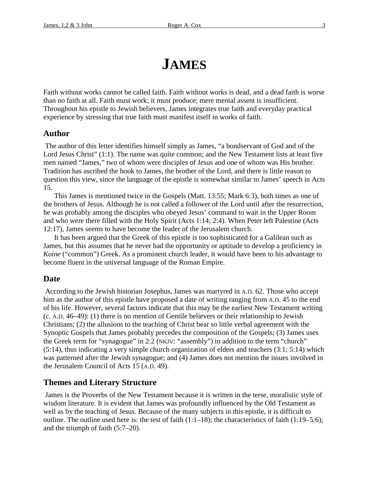# **JAMES**

Faith without works cannot be called faith. Faith without works is dead, and a dead faith is worse than no faith at all. Faith must work; it must produce; mere mental assent is insufficient. Throughout his epistle to Jewish believers, James integrates true faith and everyday practical experience by stressing that true faith must manifest itself in works of faith.

#### **Author**

The author of this letter identifies himself simply as James, "a bondservant of God and of the Lord Jesus Christ" (1:1). The name was quite common; and the New Testament lists at least five men named "James," two of whom were disciples of Jesus and one of whom was His brother. Tradition has ascribed the book to James, the brother of the Lord, and there is little reason to question this view, since the language of the epistle is somewhat similar to James' speech in Acts 15.

This James is mentioned twice in the Gospels (Matt. 13:55; Mark 6:3), both times as one of the brothers of Jesus. Although he is not called a follower of the Lord until after the resurrection, he was probably among the disciples who obeyed Jesus' command to wait in the Upper Room and who were there filled with the Holy Spirit (Acts 1:14; 2:4). When Peter left Palestine (Acts 12:17), James seems to have become the leader of the Jerusalem church.

It has been argued that the Greek of this epistle is too sophisticated for a Galilean such as James, but this assumes that he never had the opportunity or aptitude to develop a proficiency in *Koine* ("common") Greek. As a prominent church leader, it would have been to his advantage to become fluent in the universal language of the Roman Empire.

#### **Date**

According to the Jewish historian Josephus, James was martyred in A.D. 62. Those who accept him as the author of this epistle have proposed a date of writing ranging from A.D. 45 to the end of his life. However, several factors indicate that this may be the earliest New Testament writing (c. A.D. 46–49): (1) there is no mention of Gentile believers or their relationship to Jewish Christians; (2) the allusions to the teaching of Christ bear so little verbal agreement with the Synoptic Gospels that James probably precedes the composition of the Gospels; (3) James uses the Greek term for "synagogue" in 2:2 (NKJV: "assembly") in addition to the term "church" (5:14), thus indicating a very simple church organization of elders and teachers (3:1; 5:14) which was patterned after the Jewish synagogue; and (4) James does not mention the issues involved in the Jerusalem Council of Acts 15 (A.D. 49).

### **Themes and Literary Structure**

James is the Proverbs of the New Testament because it is written in the terse, moralistic style of wisdom literature. It is evident that James was profoundly influenced by the Old Testament as well as by the teaching of Jesus. Because of the many subjects in this epistle, it is difficult to outline. The outline used here is: the test of faith  $(1:1-18)$ ; the characteristics of faith  $(1:19-5:6)$ ; and the triumph of faith (5:7–20).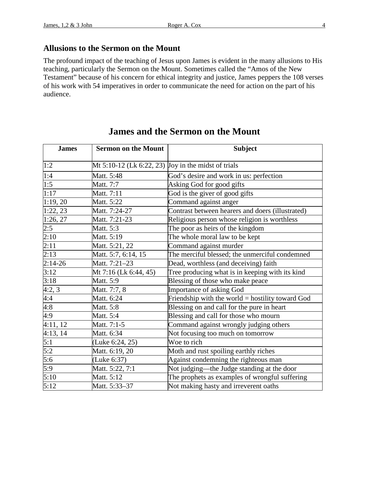# **Allusions to the Sermon on the Mount**

The profound impact of the teaching of Jesus upon James is evident in the many allusions to His teaching, particularly the Sermon on the Mount. Sometimes called the "Amos of the New Testament" because of his concern for ethical integrity and justice, James peppers the 108 verses of his work with 54 imperatives in order to communicate the need for action on the part of his audience.

| <b>James</b> | <b>Sermon on the Mount</b>                                  | <b>Subject</b>                                     |
|--------------|-------------------------------------------------------------|----------------------------------------------------|
|              |                                                             |                                                    |
| 1:2          | Mt 5:10-12 (Lk 6:22, 23) $\vert$ Joy in the midst of trials |                                                    |
| 1:4          | Matt. 5:48                                                  | God's desire and work in us: perfection            |
| 1:5          | Matt. 7:7                                                   | Asking God for good gifts                          |
| 1:17         | Matt. 7:11                                                  | God is the giver of good gifts                     |
| 1:19,20      | Matt. 5:22                                                  | Command against anger                              |
| 1:22,23      | Matt. 7:24-27                                               | Contrast between hearers and doers (illustrated)   |
| 1:26, 27     | Matt. 7:21-23                                               | Religious person whose religion is worthless       |
| 2:5          | Matt. 5:3                                                   | The poor as heirs of the kingdom                   |
| 2:10         | Matt. 5:19                                                  | The whole moral law to be kept                     |
| 2:11         | Matt. 5:21, 22                                              | Command against murder                             |
| 2:13         | Matt. 5:7, 6:14, 15                                         | The merciful blessed; the unmerciful condemned     |
| $2:14-26$    | Matt. 7:21-23                                               | Dead, worthless (and deceiving) faith              |
| 3:12         | Mt 7:16 (Lk 6:44, 45)                                       | Tree producing what is in keeping with its kind    |
| 3:18         | Matt. 5:9                                                   | Blessing of those who make peace                   |
| 4:2,3        | Matt. 7:7, 8                                                | Importance of asking God                           |
| 4:4          | Matt. 6:24                                                  | Friendship with the world $=$ hostility toward God |
| 4:8          | Matt. 5:8                                                   | Blessing on and call for the pure in heart         |
| 4:9          | Matt. 5:4                                                   | Blessing and call for those who mourn              |
| 4:11, 12     | Matt. 7:1-5                                                 | Command against wrongly judging others             |
| 4:13,14      | Matt. 6:34                                                  | Not focusing too much on tomorrow                  |
| 5:1          | (Luke 6:24, 25)                                             | Woe to rich                                        |
| 5:2          | Matt. 6:19, 20                                              | Moth and rust spoiling earthly riches              |
| 5:6          | (Luke 6:37)                                                 | Against condemning the righteous man               |
| 5:9          | Matt. 5:22, 7:1                                             | Not judging—the Judge standing at the door         |
| 5:10         | Matt. 5:12                                                  | The prophets as examples of wrongful suffering     |
| 5:12         | Matt. 5:33-37                                               | Not making hasty and irreverent oaths              |

# **James and the Sermon on the Mount**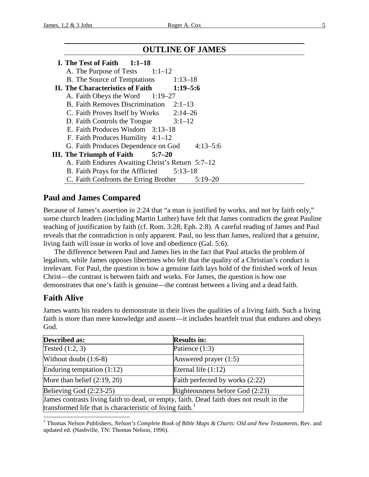# **OUTLINE OF JAMES**

| I. The Test of Faith $1:1-18$                       |
|-----------------------------------------------------|
| A. The Purpose of Tests $1:1-12$                    |
| B. The Source of Temptations 1:13–18                |
| II. The Characteristics of Faith<br>$1:19-5:6$      |
| A. Faith Obeys the Word 1:19–27                     |
| B. Faith Removes Discrimination $2:1-13$            |
| C. Faith Proves Itself by Works $2:14-26$           |
| D. Faith Controls the Tongue $3:1-12$               |
| E. Faith Produces Wisdom 3:13–18                    |
| F. Faith Produces Humility $4:1-12$                 |
| G. Faith Produces Dependence on God<br>$4:13 - 5:6$ |
| III. The Triumph of Faith 5:7–20                    |
| A. Faith Endures Awaiting Christ's Return 5:7–12    |
| B. Faith Prays for the Afflicted 5:13-18            |
| C. Faith Confronts the Erring Brother 5:19–20       |

# **Paul and James Compared**

Because of James's assertion in 2:24 that "a man is justified by works, and not by faith only," some church leaders (including Martin Luther) have felt that James contradicts the great Pauline teaching of justification by faith (cf. Rom. 3:28; Eph. 2:8). A careful reading of James and Paul reveals that the contradiction is only apparent. Paul, no less than James, realized that a genuine, living faith will issue in works of love and obedience (Gal. 5:6).

The difference between Paul and James lies in the fact that Paul attacks the problem of legalism, while James opposes libertines who felt that the quality of a Christian's conduct is irrelevant. For Paul, the question is how a genuine faith lays hold of the finished work of Jesus Christ—the contrast is between faith and works. For James, the question is how one demonstrates that one's faith is genuine—the contrast between a living and a dead faith.

### **Faith Alive**

James wants his readers to demonstrate in their lives the qualities of a living faith. Such a living faith is more than mere knowledge and assent—it includes heartfelt trust that endures and obeys God.

| <b>Described as:</b>                                                                     | <b>Results in:</b>              |
|------------------------------------------------------------------------------------------|---------------------------------|
| Tested $(1:2, 3)$                                                                        | Patience $(1:3)$                |
| Without doubt $(1:6-8)$                                                                  | Answered prayer (1:5)           |
| Enduring temptation $(1:12)$                                                             | Eternal life $(1:12)$           |
| More than belief $(2.19, 20)$                                                            | Faith perfected by works (2:22) |
| Believing God $(2:23-25)$                                                                | Righteousness before God (2:23) |
| James contrasts living faith to dead, or empty, faith. Dead faith does not result in the |                                 |
| transformed life that is characteristic of living faith. <sup>1</sup>                    |                                 |

<span id="page-4-0"></span><sup>1</sup> Thomas Nelson Publishers, *Nelson's Complete Book of Bible Maps & Charts: Old and New Testaments*, Rev. and updated ed. (Nashville, TN: Thomas Nelson, 1996).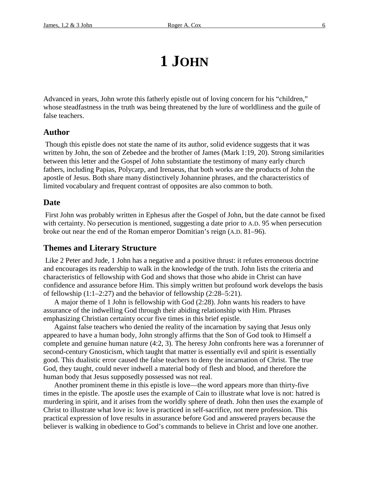# **1 JOHN**

Advanced in years, John wrote this fatherly epistle out of loving concern for his "children," whose steadfastness in the truth was being threatened by the lure of worldliness and the guile of false teachers.

#### **Author**

Though this epistle does not state the name of its author, solid evidence suggests that it was written by John, the son of Zebedee and the brother of James (Mark 1:19, 20). Strong similarities between this letter and the Gospel of John substantiate the testimony of many early church fathers, including Papias, Polycarp, and Irenaeus, that both works are the products of John the apostle of Jesus. Both share many distinctively Johannine phrases, and the characteristics of limited vocabulary and frequent contrast of opposites are also common to both.

#### **Date**

First John was probably written in Ephesus after the Gospel of John, but the date cannot be fixed with certainty. No persecution is mentioned, suggesting a date prior to A.D. 95 when persecution broke out near the end of the Roman emperor Domitian's reign (A.D. 81–96).

#### **Themes and Literary Structure**

Like 2 Peter and Jude, 1 John has a negative and a positive thrust: it refutes erroneous doctrine and encourages its readership to walk in the knowledge of the truth. John lists the criteria and characteristics of fellowship with God and shows that those who abide in Christ can have confidence and assurance before Him. This simply written but profound work develops the basis of fellowship (1:1–2:27) and the behavior of fellowship (2:28–5:21).

A major theme of 1 John is fellowship with God (2:28). John wants his readers to have assurance of the indwelling God through their abiding relationship with Him. Phrases emphasizing Christian certainty occur five times in this brief epistle.

Against false teachers who denied the reality of the incarnation by saying that Jesus only appeared to have a human body, John strongly affirms that the Son of God took to Himself a complete and genuine human nature (4:2, 3). The heresy John confronts here was a forerunner of second-century Gnosticism, which taught that matter is essentially evil and spirit is essentially good. This dualistic error caused the false teachers to deny the incarnation of Christ. The true God, they taught, could never indwell a material body of flesh and blood, and therefore the human body that Jesus supposedly possessed was not real.

Another prominent theme in this epistle is love—the word appears more than thirty-five times in the epistle. The apostle uses the example of Cain to illustrate what love is not: hatred is murdering in spirit, and it arises from the worldly sphere of death. John then uses the example of Christ to illustrate what love is: love is practiced in self-sacrifice, not mere profession. This practical expression of love results in assurance before God and answered prayers because the believer is walking in obedience to God's commands to believe in Christ and love one another.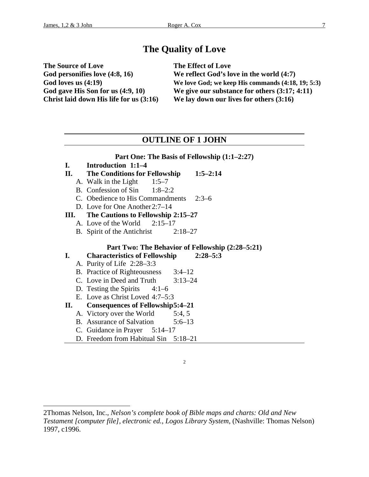# **The Quality of Love**

**The Source of Love The Effect of Love Christ laid down His life for us (3:16) We lay down our lives for others (3:16)**

**God personifies love (4:8, 16) We reflect God's love in the world (4:7) God loves us (4:19) We love God; we keep His commands (4:18, 19; 5:3) God gave His Son for us (4:9, 10) We give our substance for others (3:17; 4:11)**

### **OUTLINE OF 1 JOHN**

- **Part One: The Basis of Fellowship (1:1–2:27) I. Introduction 1:1–4 II. The Conditions for Fellowship 1:5–2:14** A. Walk in the Light  $1:5-7$ B. Confession of Sin 1:8–2:2 C. Obedience to His Commandments 2:3–6 D. Love for One Another 2:7–14 **III. The Cautions to Fellowship 2:15–27** A. Love of the World 2:15–17 B. Spirit of the Antichrist 2:18–27 **Part Two: The Behavior of Fellowship (2:28–5:21) I. Characteristics of Fellowship 2:28–5:3** A. Purity of Life 2:28–3:3 B. Practice of Righteousness 3:4–12 C. Love in Deed and Truth 3:13–24 D. Testing the Spirits 4:1–6 E. Love as Christ Loved 4:7–5:3
- **II. Consequences of Fellowship5:4–21**
	- A. Victory over the World 5:4, 5
	- B. Assurance of Salvation 5:6–13
	- C. Guidance in Prayer 5:14–17

 $\overline{a}$ 

D. Freedom from Habitual Sin 5:18–21

<span id="page-6-0"></span><sup>2</sup>Thomas Nelson, Inc., *Nelson's complete book of Bible maps and charts: Old and New Testament [computer file], electronic ed., Logos Library System*, (Nashville: Thomas Nelson) 1997, c1996.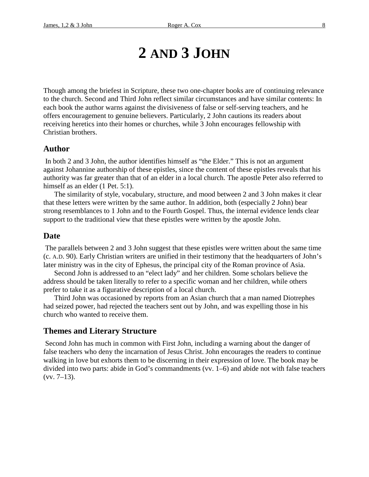# **2 AND 3 JOHN**

Though among the briefest in Scripture, these two one-chapter books are of continuing relevance to the church. Second and Third John reflect similar circumstances and have similar contents: In each book the author warns against the divisiveness of false or self-serving teachers, and he offers encouragement to genuine believers. Particularly, 2 John cautions its readers about receiving heretics into their homes or churches, while 3 John encourages fellowship with Christian brothers.

#### **Author**

In both 2 and 3 John, the author identifies himself as "the Elder." This is not an argument against Johannine authorship of these epistles, since the content of these epistles reveals that his authority was far greater than that of an elder in a local church. The apostle Peter also referred to himself as an elder (1 Pet. 5:1).

The similarity of style, vocabulary, structure, and mood between 2 and 3 John makes it clear that these letters were written by the same author. In addition, both (especially 2 John) bear strong resemblances to 1 John and to the Fourth Gospel. Thus, the internal evidence lends clear support to the traditional view that these epistles were written by the apostle John.

#### **Date**

The parallels between 2 and 3 John suggest that these epistles were written about the same time (c. A.D. 90). Early Christian writers are unified in their testimony that the headquarters of John's later ministry was in the city of Ephesus, the principal city of the Roman province of Asia.

Second John is addressed to an "elect lady" and her children. Some scholars believe the address should be taken literally to refer to a specific woman and her children, while others prefer to take it as a figurative description of a local church.

Third John was occasioned by reports from an Asian church that a man named Diotrephes had seized power, had rejected the teachers sent out by John, and was expelling those in his church who wanted to receive them.

#### **Themes and Literary Structure**

Second John has much in common with First John, including a warning about the danger of false teachers who deny the incarnation of Jesus Christ. John encourages the readers to continue walking in love but exhorts them to be discerning in their expression of love. The book may be divided into two parts: abide in God's commandments (vv. 1–6) and abide not with false teachers  $(vv. 7-13)$ .